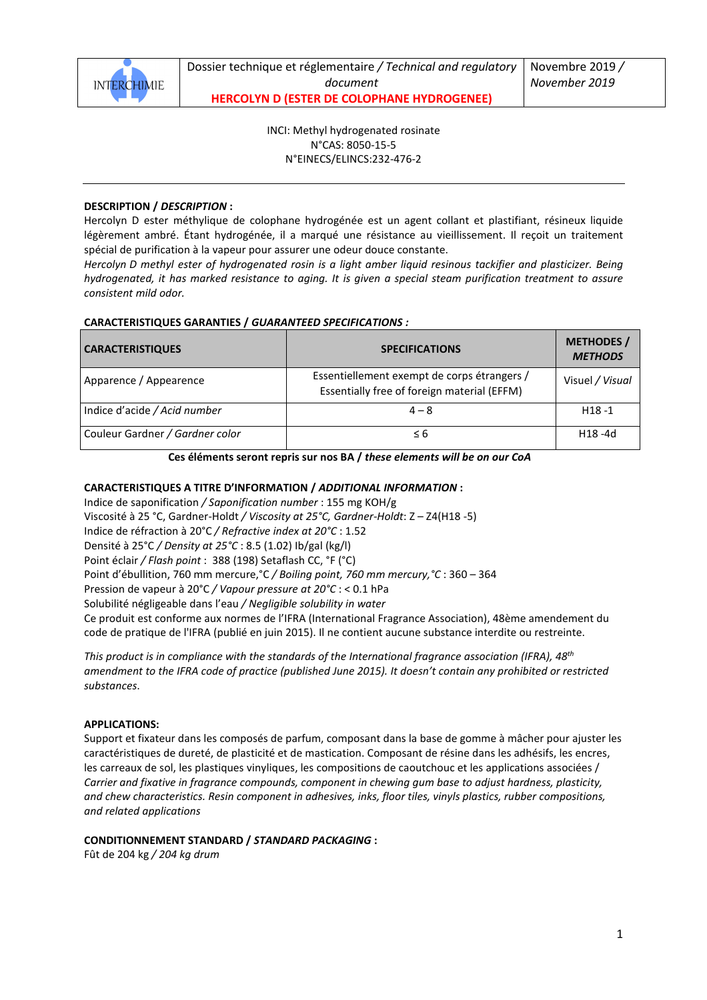

Dossier technique et réglementaire */ Technical and regulatory document* **HERCOLYN D (ESTER DE COLOPHANE HYDROGENEE)** 

INCI: Methyl hydrogenated rosinate N°CAS: 8050-15-5 N°EINECS/ELINCS:232-476-2

#### **DESCRIPTION /** *DESCRIPTION* **:**

Hercolyn D ester méthylique de colophane hydrogénée est un agent collant et plastifiant, résineux liquide légèrement ambré. Étant hydrogénée, il a marqué une résistance au vieillissement. Il reçoit un traitement spécial de purification à la vapeur pour assurer une odeur douce constante.

*Hercolyn D methyl ester of hydrogenated rosin is a light amber liquid resinous tackifier and plasticizer. Being hydrogenated, it has marked resistance to aging. It is given a special steam purification treatment to assure consistent mild odor.* 

## **CARACTERISTIQUES GARANTIES /** *GUARANTEED SPECIFICATIONS :*

| <b>CARACTERISTIQUES</b>         | <b>SPECIFICATIONS</b>                                                                      | <b>METHODES /</b><br><b>METHODS</b> |
|---------------------------------|--------------------------------------------------------------------------------------------|-------------------------------------|
| Apparence / Appearence          | Essentiellement exempt de corps étrangers /<br>Essentially free of foreign material (EFFM) | Visuel / Visual                     |
| Indice d'acide / Acid number    | $4 - 8$                                                                                    | $H18 - 1$                           |
| Couleur Gardner / Gardner color | $\leq 6$                                                                                   | $H18 - 4d$                          |

**Ces éléments seront repris sur nos BA /** *these elements will be on our CoA* 

### **CARACTERISTIQUES A TITRE D'INFORMATION /** *ADDITIONAL INFORMATION* **:**

Indice de saponification */ Saponification number* : 155 mg KOH/g Viscosité à 25 °C, Gardner-Holdt */ Viscosity at 25°C, Gardner-Holdt*: Z – Z4(H18 -5) Indice de réfraction à 20°C */ Refractive index at 20°C* : 1.52 Densité à 25°C */ Density at 25°C* : 8.5 (1.02) Ib/gal (kg/l) Point éclair */ Flash point* : 388 (198) Setaflash CC, °F (°C) Point d'ébullition, 760 mm mercure,°C */ Boiling point, 760 mm mercury,°C* : 360 – 364 Pression de vapeur à 20°C */ Vapour pressure at 20°C* : < 0.1 hPa Solubilité négligeable dans l'eau */ Negligible solubility in water* Ce produit est conforme aux normes de l'IFRA (International Fragrance Association), 48ème amendement du code de pratique de l'IFRA (publié en juin 2015). Il ne contient aucune substance interdite ou restreinte.

*This product is in compliance with the standards of the International fragrance association (IFRA), 48th amendment to the IFRA code of practice (published June 2015). It doesn't contain any prohibited or restricted substances*.

#### **APPLICATIONS:**

Support et fixateur dans les composés de parfum, composant dans la base de gomme à mâcher pour ajuster les caractéristiques de dureté, de plasticité et de mastication. Composant de résine dans les adhésifs, les encres, les carreaux de sol, les plastiques vinyliques, les compositions de caoutchouc et les applications associées / *Carrier and fixative in fragrance compounds, component in chewing gum base to adjust hardness, plasticity, and chew characteristics. Resin component in adhesives, inks, floor tiles, vinyls plastics, rubber compositions, and related applications* 

#### **CONDITIONNEMENT STANDARD /** *STANDARD PACKAGING* **:**

Fût de 204 kg */ 204 kg drum*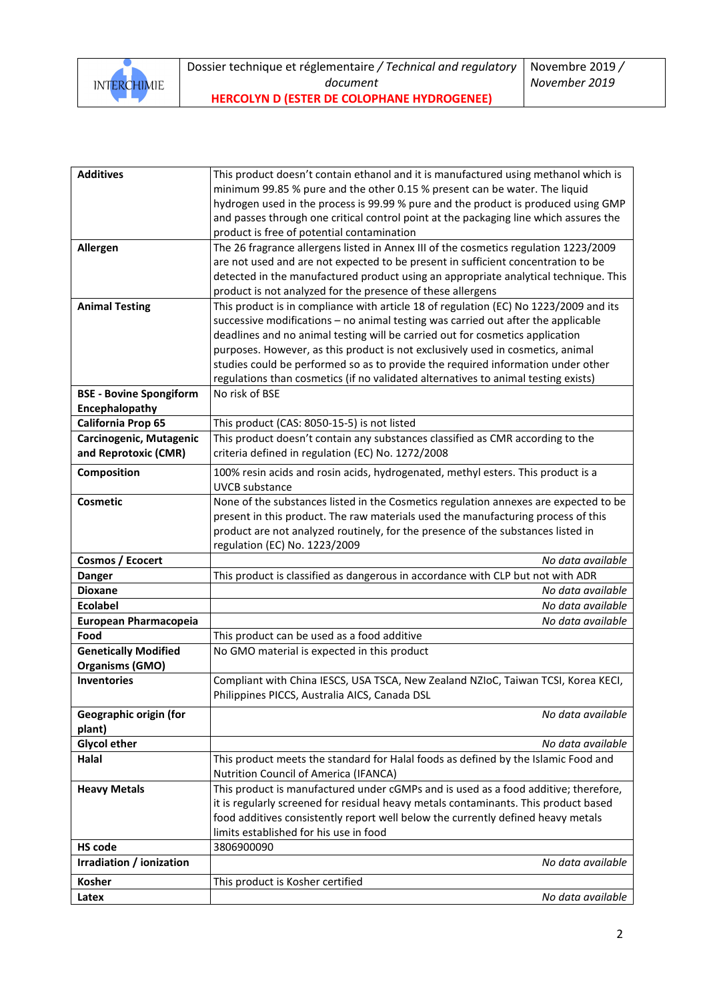

| <b>Additives</b>                     | This product doesn't contain ethanol and it is manufactured using methanol which is   |
|--------------------------------------|---------------------------------------------------------------------------------------|
|                                      | minimum 99.85 % pure and the other 0.15 % present can be water. The liquid            |
|                                      | hydrogen used in the process is 99.99 % pure and the product is produced using GMP    |
|                                      | and passes through one critical control point at the packaging line which assures the |
|                                      | product is free of potential contamination                                            |
| Allergen                             | The 26 fragrance allergens listed in Annex III of the cosmetics regulation 1223/2009  |
|                                      | are not used and are not expected to be present in sufficient concentration to be     |
|                                      | detected in the manufactured product using an appropriate analytical technique. This  |
|                                      | product is not analyzed for the presence of these allergens                           |
| <b>Animal Testing</b>                | This product is in compliance with article 18 of regulation (EC) No 1223/2009 and its |
|                                      | successive modifications - no animal testing was carried out after the applicable     |
|                                      | deadlines and no animal testing will be carried out for cosmetics application         |
|                                      | purposes. However, as this product is not exclusively used in cosmetics, animal       |
|                                      | studies could be performed so as to provide the required information under other      |
|                                      | regulations than cosmetics (if no validated alternatives to animal testing exists)    |
| <b>BSE - Bovine Spongiform</b>       | No risk of BSE                                                                        |
| Encephalopathy<br>California Prop 65 | This product (CAS: 8050-15-5) is not listed                                           |
| Carcinogenic, Mutagenic              | This product doesn't contain any substances classified as CMR according to the        |
| and Reprotoxic (CMR)                 | criteria defined in regulation (EC) No. 1272/2008                                     |
|                                      |                                                                                       |
| Composition                          | 100% resin acids and rosin acids, hydrogenated, methyl esters. This product is a      |
|                                      | <b>UVCB</b> substance                                                                 |
| <b>Cosmetic</b>                      | None of the substances listed in the Cosmetics regulation annexes are expected to be  |
|                                      | present in this product. The raw materials used the manufacturing process of this     |
|                                      | product are not analyzed routinely, for the presence of the substances listed in      |
| Cosmos / Ecocert                     | regulation (EC) No. 1223/2009<br>No data available                                    |
| <b>Danger</b>                        | This product is classified as dangerous in accordance with CLP but not with ADR       |
| <b>Dioxane</b>                       | No data available                                                                     |
| <b>Ecolabel</b>                      | No data available                                                                     |
| European Pharmacopeia                | No data available                                                                     |
| Food                                 | This product can be used as a food additive                                           |
| <b>Genetically Modified</b>          | No GMO material is expected in this product                                           |
| <b>Organisms (GMO)</b>               |                                                                                       |
| <b>Inventories</b>                   | Compliant with China IESCS, USA TSCA, New Zealand NZIoC, Taiwan TCSI, Korea KECI,     |
|                                      | Philippines PICCS, Australia AICS, Canada DSL                                         |
| Geographic origin (for               | No data available                                                                     |
| plant)                               |                                                                                       |
| <b>Glycol ether</b>                  | No data available                                                                     |
| Halal                                | This product meets the standard for Halal foods as defined by the Islamic Food and    |
|                                      | Nutrition Council of America (IFANCA)                                                 |
| <b>Heavy Metals</b>                  | This product is manufactured under cGMPs and is used as a food additive; therefore,   |
|                                      | it is regularly screened for residual heavy metals contaminants. This product based   |
|                                      | food additives consistently report well below the currently defined heavy metals      |
|                                      | limits established for his use in food                                                |
| <b>HS code</b>                       | 3806900090                                                                            |
| Irradiation / ionization             | No data available                                                                     |
| Kosher                               | This product is Kosher certified                                                      |
| Latex                                | No data available                                                                     |